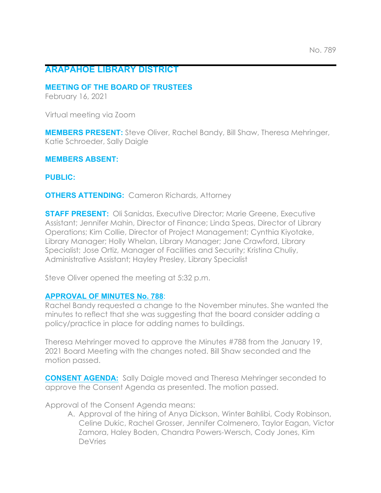# **ARAPAHOE LIBRARY DISTRICT**

#### **MEETING OF THE BOARD OF TRUSTEES**

February 16, 2021

Virtual meeting via Zoom

**MEMBERS PRESENT:** Steve Oliver, Rachel Bandy, Bill Shaw, Theresa Mehringer, Katie Schroeder, Sally Daigle

**MEMBERS ABSENT:**

**PUBLIC:**

**OTHERS ATTENDING:** Cameron Richards, Attorney

**STAFF PRESENT:** Oli Sanidas, Executive Director; Marie Greene, Executive Assistant; Jennifer Mahin, Director of Finance; Linda Speas, Director of Library Operations; Kim Collie, Director of Project Management; Cynthia Kiyotake, Library Manager; Holly Whelan, Library Manager; Jane Crawford, Library Specialist; Jose Ortiz, Manager of Facilities and Security; Kristina Chuliy, Administrative Assistant; Hayley Presley, Library Specialist

Steve Oliver opened the meeting at 5:32 p.m.

## **APPROVAL OF MINUTES No. 788**:

Rachel Bandy requested a change to the November minutes. She wanted the minutes to reflect that she was suggesting that the board consider adding a policy/practice in place for adding names to buildings.

Theresa Mehringer moved to approve the Minutes #788 from the January 19, 2021 Board Meeting with the changes noted. Bill Shaw seconded and the motion passed.

**CONSENT AGENDA:** Sally Daigle moved and Theresa Mehringer seconded to approve the Consent Agenda as presented. The motion passed.

Approval of the Consent Agenda means:

A. Approval of the hiring of Anya Dickson, Winter Bahlibi, Cody Robinson, Celine Dukic, Rachel Grosser, Jennifer Colmenero, Taylor Eagan, Victor Zamora, Haley Boden, Chandra Powers-Wersch, Cody Jones, Kim DeVries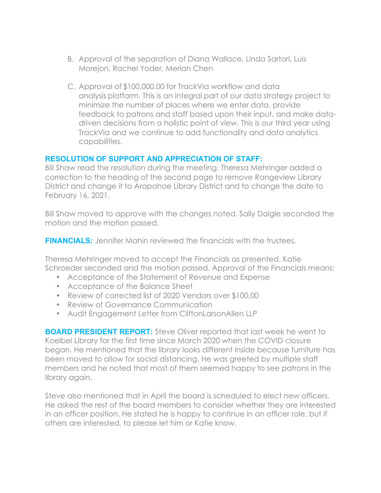- B. Approval of the separation of Diana Wallace, Linda Sartori, Luis Morejon, Rachel Yoder, Merian Chen
- C. Approval of \$100,000.00 for TrackVia workflow and data analysis platform. This is an integral part of our data strategy project to minimize the number of places where we enter data, provide feedback to patrons and staff based upon their input, and make datadriven decisions from a holistic point of view. This is our third year using TrackVia and we continue to add functionality and data analytics capabilities.

# **RESOLUTION OF SUPPORT AND APPRECIATION OF STAFF:**

Bill Shaw read the resolution during the meeting. Theresa Mehringer added a correction to the heading of the second page to remove Rangeview Library District and change it to Arapahoe Library District and to change the date to February 16, 2021.

Bill Shaw moved to approve with the changes noted, Sally Daigle seconded the motion and the motion passed.

**FINANCIALS:** Jennifer Mahin reviewed the financials with the trustees.

Theresa Mehringer moved to accept the Financials as presented. Katie Schroeder seconded and the motion passed. Approval of the Financials means:

- Acceptance of the Statement of Revenue and Expense
- Acceptance of the Balance Sheet
- Review of corrected list of 2020 Vendors over \$100,00
- Review of Governance Communication
- Audit Engagement Letter from CliftonLarsonAllen LLP

**BOARD PRESIDENT REPORT:** Steve Oliver reported that last week he went to Koelbel Library for the first time since March 2020 when the COVID closure began. He mentioned that the library looks different inside because furniture has been moved to allow for social distancing. He was greeted by multiple staff members and he noted that most of them seemed happy to see patrons in the library again.

Steve also mentioned that in April the board is scheduled to elect new officers. He asked the rest of the board members to consider whether they are interested in an officer position. He stated he is happy to continue in an officer role, but if others are interested, to please let him or Katie know.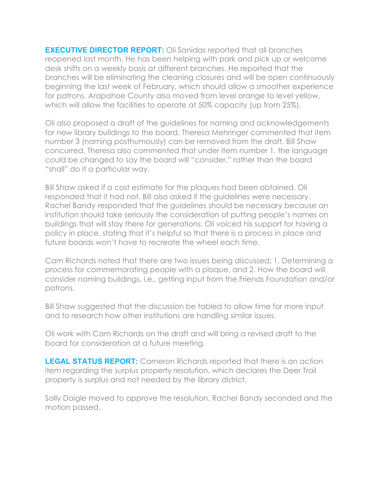**EXECUTIVE DIRECTOR REPORT:** Oli Sanidas reported that all branches reopened last month. He has been helping with park and pick up or welcome desk shifts on a weekly basis at different branches. He reported that the branches will be eliminating the cleaning closures and will be open continuously beginning the last week of February, which should allow a smoother experience for patrons. Arapahoe County also moved from level orange to level yellow, which will allow the facilities to operate at 50% capacity (up from 25%).

Oli also proposed a draft of the guidelines for naming and acknowledgements for new library buildings to the board. Theresa Mehringer commented that item number 3 (naming posthumously) can be removed from the draft. Bill Shaw concurred. Theresa also commented that under item number 1, the language could be changed to say the board will "consider," rather than the board "shall" do it a particular way.

Bill Shaw asked if a cost estimate for the plaques had been obtained. Oli responded that it had not. Bill also asked if the guidelines were necessary. Rachel Bandy responded that the guidelines should be necessary because an institution should take seriously the consideration of putting people's names on buildings that will stay there for generations. Oli voiced his support for having a policy in place, stating that it's helpful so that there is a process in place and future boards won't have to recreate the wheel each time.

Cam Richards noted that there are two issues being discussed; 1. Determining a process for commemorating people with a plaque, and 2. How the board will consider naming buildings, i.e., getting input from the Friends Foundation and/or patrons.

Bill Shaw suggested that the discussion be tabled to allow time for more input and to research how other institutions are handling similar issues.

Oli work with Cam Richards on the draft and will bring a revised draft to the board for consideration at a future meeting.

**LEGAL STATUS REPORT:** Cameron Richards reported that there is an action item regarding the surplus property resolution, which declares the Deer Trail property is surplus and not needed by the library district.

Sally Daigle moved to approve the resolution, Rachel Bandy seconded and the motion passed.